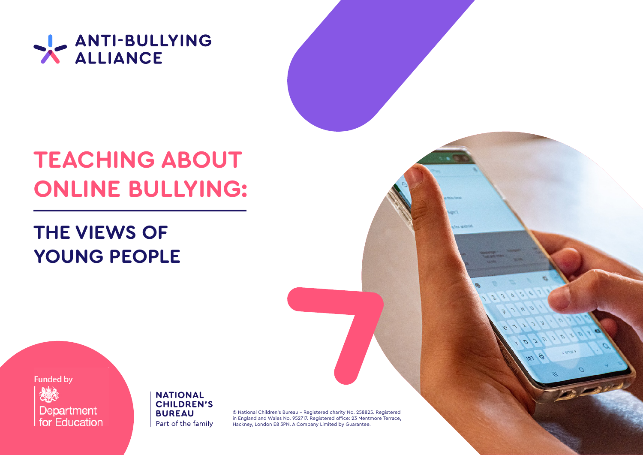

# **TEACHING ABOUT ONLINE BULLYING:**

# **THE VIEWS OF YOUNG PEOPLE**

**Funded by** 燃

Department for Education

**NATIONAL CHILDREN'S BUREAU** Part of the family

© National Children's Bureau - Registered charity No. 258825. Registered in England and Wales No. 952717. Registered office: 23 Mentmore Terrace, Hackney, London E8 3PN. A Company Limited by Guarantee.

AM TE

a hos andarish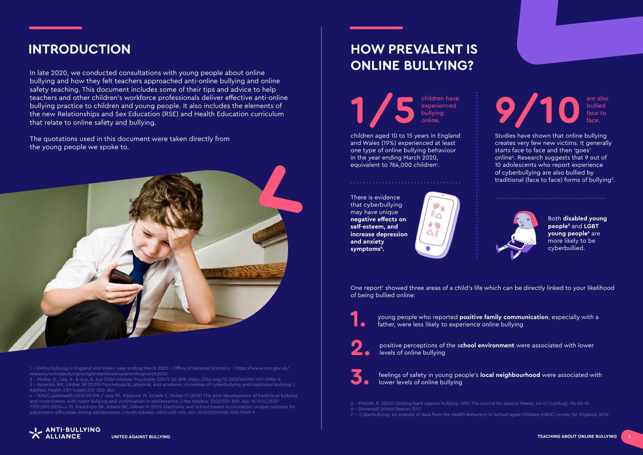## **INTRODUCTION**

In late 2020, we conducted consultations with young people about online bullying and how they felt teachers approached anti-online bullying and online safety teaching. This document includes some of their tips and advice to help teachers and other children's workforce professionals deliver effective anti-online bullying practice to children and young people. It also includes the elements of the new Relationships and Sex Education (RSE) and Health Education curriculum that relate to online safety and bullying.

The quotations used in this document were taken directly from the young people we spoke to.



1 - Online bullying in England and Wales: year ending March 2020 - Office of National Statistics - https://www.ons.gov.uk/

4 - 1016/j.jadohealth.2012.09.018 / Jose PE, Kljakovic M, Scheib E, Notter O (2012) The joint development of traditional bullying 7795.2011.00764.x 10. Fredstrom BK, Adams RE, Gilman R (2011) Electronic and school-based victimization: unique contexts for<br>adjustment difficulties during adolescence. J Youth Adolesc 40(4):405–415. doi: 10.1007/s10964–01

# **HOW PREVALENT IS ONLINE BULLYING?**

children have experienced bullying online.

children aged 10 to 15 years in England and Wales (19%) experienced at least one type of online bullying behaviour in the year ending March 2020, equivalent to 764,000 children<sup>1</sup>.

There is evidence that cyberbullying may have unique **negative effects on self-esteem, and increase depression and anxiety symptoms4.**

are also bullied face to face. **1/5 9/10**

Studies have shown that online bullying creates very few new victims. It generally starts face to face and then 'goes' online2 . Research suggests that 9 out of 10 adolescents who report experience of cyberbullying are also bullied by traditional (face to face) forms of bullying $3$ .



Both **disabled young people<sup>5</sup>** and **LGBT young people<sup>6</sup>** are more likely to be cyberbullied.

One report<sup>7</sup> showed three areas of a child's life which can be directly linked to your likelihood of being bullied online:



young people who reported **positive family communication**, especially with a father, were less likely to experience online bullying



positive perceptions of the s**chool environment** were associated with lower levels of online bullying



feelings of safety in young people's **local neighbourhood** were associated with lower levels of online bullying

5 - PIGGIN, R. (2010) Striking back against bullying. SEN: The Journal for Special Needs, no.47 (Jul/Aug). Pp 60–61 6 - Stonewall School Report 2017

7 - Cyberbullying: An analysis of data from the Health Behaviour in School-aged Children (HBSC) survey for England, 2014

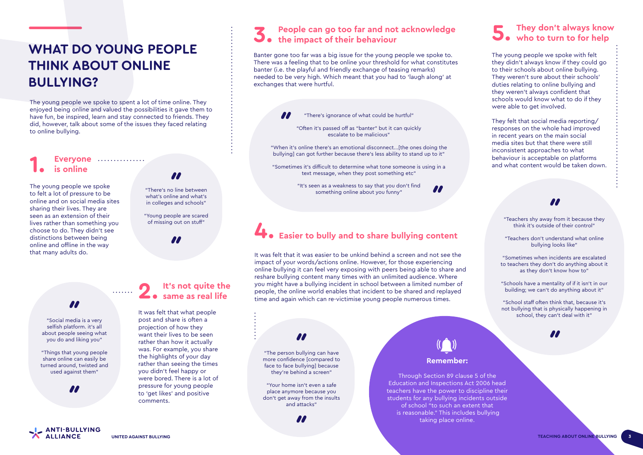# **WHAT DO YOUNG PEOPLE THINK ABOUT ONLINE BULLYING?**

The young people we spoke to spent a lot of time online. They enjoyed being online and valued the possibilities it gave them to have fun, be inspired, learn and stay connected to friends. They did, however, talk about some of the issues they faced relating to online bullying.

### **Everyone is online**

The young people we spoke to felt a lot of pressure to be online and on social media sites sharing their lives. They are seen as an extension of their lives rather than something you choose to do. They didn't see distinctions between being online and offline in the way that many adults do.

> "Social media is a very selfish platform. it's all about people seeing what you do and liking you" "Things that young people share online can easily be turned around, twisted and used against them"

> > n

 $\boldsymbol{\Omega}$ 

"There's no line between what's online and what's in colleges and schools"

"Young people are scared of missing out on stuff"

 $\boldsymbol{\mathit{ll}}$ 

### **2. It's not quite the same as real life**

It was felt that what people post and share is often a projection of how they want their lives to be seen rather than how it actually was. For example, you share the highlights of your day rather than seeing the times you didn't feel happy or were bored. There is a lot of pressure for young people to 'get likes' and positive comments.

### **3. 5. the impact of their behaviour People can go too far and not acknowledge**

Banter gone too far was a big issue for the young people we spoke to. There was a feeling that to be online your threshold for what constitutes banter (i.e. the playful and friendly exchange of teasing remarks) needed to be very high. Which meant that you had to 'laugh along' at exchanges that were hurtful.

"There's ignorance of what could be hurtful"

"Often it's passed off as "banter" but it can quickly escalate to be malicious"

"When it's online there's an emotional disconnect...[the ones doing the bullying] can got further because there's less ability to stand up to it"

and what content would be taken down. **1.** "Sometimes it's difficult to determine what tone someone is using in a text message, when they post something etc"

> "It's seen as a weakness to say that you don't find n something online about you funny"

# **4. Easier to bully and to share bullying content**

It was felt that it was easier to be unkind behind a screen and not see the impact of your words/actions online. However, for those experiencing online bullying it can feel very exposing with peers being able to share and reshare bullying content many times with an unlimited audience. Where you might have a bullying incident in school between a limited number of people, the online world enables that incident to be shared and replayed time and again which can re-victimise young people numerous times.

### n

"The person bullying can have more confidence [compared to face to face bullying] because they're behind a screen"

"Your home isn't even a safe place anymore because you don't get away from the insults and attacks"

m

### **They don't always know who to turn to for help**

The young people we spoke with felt they didn't always know if they could go to their schools about online bullying. They weren't sure about their schools' duties relating to online bullying and they weren't always confident that schools would know what to do if they were able to get involved.

They felt that social media reporting/ responses on the whole had improved in recent years on the main social media sites but that there were still inconsistent approaches to what behaviour is acceptable on platforms<br>and what content would be taken down.

### 22

"Teachers shy away from it because they think it's outside of their control"

"Teachers don't understand what online bullying looks like"

"Sometimes when incidents are escalated to teachers they don't do anything about it as they don't know how to"

"Schools have a mentality of if it isn't in our building; we can't do anything about it"

"School staff often think that, because it's not bullying that is physically happening in school, they can't deal with it"

11

#### **Remember:**

Through Section 89 clause 5 of the Education and Inspections Act 2006 head teachers have the power to discipline their students for any bullying incidents outside of school "to such an extent that is reasonable." This includes bullying taking place online.

**UNITED AGAINST BULLYING TEACHING ABOUT ONLINE BULLYING** 

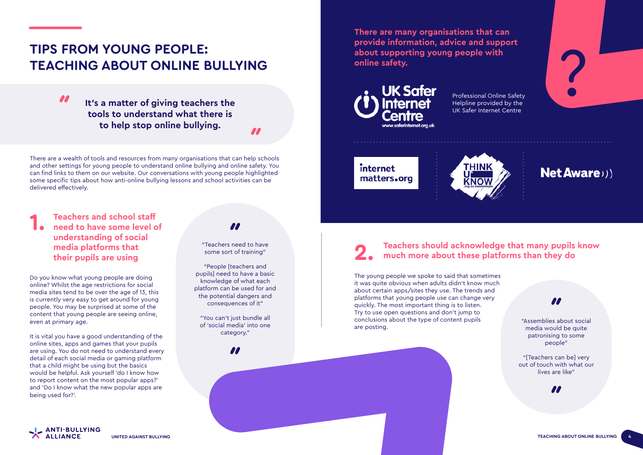# **TIPS FROM YOUNG PEOPLE: TEACHING ABOUT ONLINE BULLYING**

**It's a matter of giving teachers the tools to understand what there is to help stop online bullying.**

There are a wealth of tools and resources from many organisations that can help schools and other settings for young people to understand online bullying and online safety. You can find links to them on our website. Our conversations with young people highlighted some specific tips about how anti-online bullying lessons and school activities can be delivered effectively.

**Teachers and school staff need to have some level of understanding of social media platforms that their pupils are using 1.**

11

Do you know what young people are doing online? Whilst the age restrictions for social media sites tend to be over the age of 13, this is currently very easy to get around for young people. You may be surprised at some of the content that young people are seeing online, even at primary age.

It is vital you have a good understanding of the online sites, apps and games that your pupils are using. You do not need to understand every detail of each social media or gaming platform that a child might be using but the basics would be helpful. Ask yourself 'do I know how to report content on the most popular apps?' and 'Do I know what the new popular apps are being used for?'.

### 11

**2.** "Teachers need to have some sort of training" some sort of training"

"People [teachers and pupils] need to have a basic knowledge of what each platform can be used for and the potential dangers and consequences of it"

"You can't just bundle all of 'social media' into one category."

n

**There are many organisations that can provide information, advice and support about supporting young people with online safety.** 



internet

matters.org

Professional Online Safety Helpline provided by the UK Safer Internet Centre

## **Net Aware**

?

### **Teachers should acknowledge that many pupils know much more about these platforms than they do**

The young people we spoke to said that sometimes it was quite obvious when adults didn't know much about certain apps/sites they use. The trends and platforms that young people use can change very quickly. The most important thing is to listen. Try to use open questions and don't jump to conclusions about the type of content pupils are posting.

### m

"Assemblies about social media would be quite patronising to some people"

"[Teachers can be] very out of touch with what our lives are like"

 $\boldsymbol{\Omega}$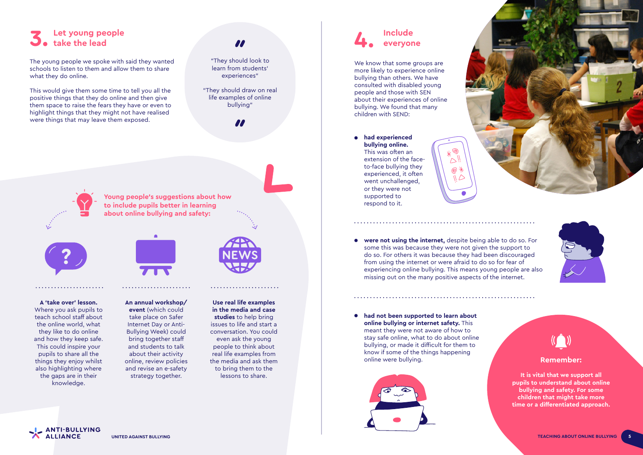# **Let young people 3. take the lead**

The young people we spoke with said they wanted schools to listen to them and allow them to share what they do online.

This would give them some time to tell you all the positive things that they do online and then give them space to raise the fears they have or even to highlight things that they might not have realised were things that may leave them exposed.

### $\boldsymbol{\Omega}$

"They should look to learn from students' experiences"

"They should draw on real life examples of online bullying"





**Young people's suggestions about how to include pupils better in learning about online bullying and safety:** 

**A 'take over' lesson.**  Where you ask pupils to teach school staff about the online world, what they like to do online and how they keep safe. This could inspire your pupils to share all the things they enjoy whilst also highlighting where the gaps are in their knowledge.

### **An annual workshop/ event** (which could

take place on Safer Internet Day or Anti-Bullying Week) could bring together staff and students to talk about their activity online, review policies and revise an e-safety strategy together.

**Use real life examples in the media and case studies** to help bring issues to life and start a conversation. You could even ask the young people to think about real life examples from the media and ask them to bring them to the lessons to share.

a distribuir de la caractería



We know that some groups are more likely to experience online bullying than others. We have consulted with disabled young people and those with SEN about their experiences of online bullying. We found that many children with SEND:

**had experienced bullying online.** This was often an extension of the faceto-face bullying they experienced, it often went unchallenged, or they were not supported to respond to it.



**were not using the internet,** despite being able to do so. For some this was because they were not given the support to do so. For others it was because they had been discouraged from using the internet or were afraid to do so for fear of experiencing online bullying. This means young people are also missing out on the many positive aspects of the internet.



**had not been supported to learn about online bullying or internet safety.** This meant they were not aware of how to stay safe online, what to do about online bullying, or made it difficult for them to know if some of the things happening online were bullying. **Remember: Remember: Remember:** 





**It is vital that we support all pupils to understand about online bullying and safety. For some children that might take more time or a differentiated approach.**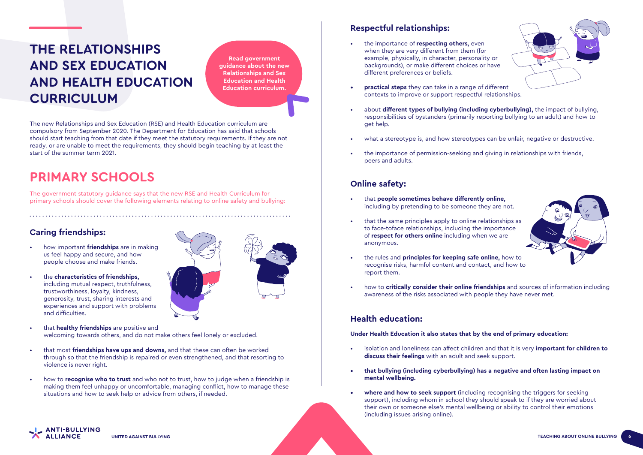# **THE RELATIONSHIPS AND SEX EDUCATION AND HEALTH EDUCATION CURRICULUM**

**Read government guidance about the new Relationships and Sex Education and Health Education curriculum.**

The new Relationships and Sex Education (RSE) and Health Education curriculum are compulsory from September 2020. The Department for Education has said that schools should start teaching from that date if they meet the statutory requirements. If they are not ready, or are unable to meet the requirements, they should begin teaching by at least the start of the summer term 2021.

# **PRIMARY SCHOOLS**

The government statutory guidance says that the new RSE and Health Curriculum for primary schools should cover the following elements relating to online safety and bullying:

### **Caring friendships:**

- how important **friendships** are in making us feel happy and secure, and how people choose and make friends.
- the **characteristics of friendships,**  including mutual respect, truthfulness, trustworthiness, loyalty, kindness, generosity, trust, sharing interests and experiences and support with problems and difficulties.



- that **healthy friendships** are positive and welcoming towards others, and do not make others feel lonely or excluded.
- that most **friendships have ups and downs,** and that these can often be worked through so that the friendship is repaired or even strengthened, and that resorting to violence is never right.
- how to **recognise who to trust** and who not to trust, how to judge when a friendship is making them feel unhappy or uncomfortable, managing conflict, how to manage these situations and how to seek help or advice from others, if needed.

### **Respectful relationships:**

• the importance of **respecting others,** even when they are very different from them (for example, physically, in character, personality or backgrounds), or make different choices or have different preferences or beliefs.



- **• practical steps** they can take in a range of different contexts to improve or support respectful relationships.
- about **different types of bullying (including cyberbullying),** the impact of bullying, responsibilities of bystanders (primarily reporting bullying to an adult) and how to get help.
- what a stereotype is, and how stereotypes can be unfair, negative or destructive.
- the importance of permission-seeking and giving in relationships with friends, peers and adults.

### **Online safety:**

- that **people sometimes behave differently online,**  including by pretending to be someone they are not.
- that the same principles apply to online relationships as to face-toface relationships, including the importance of **respect for others online** including when we are anonymous.



- the rules and **principles for keeping safe online,** how to recognise risks, harmful content and contact, and how to report them.
- how to **critically consider their online friendships** and sources of information including awareness of the risks associated with people they have never met.

### **Health education:**

#### **Under Health Education it also states that by the end of primary education:**

- isolation and loneliness can affect children and that it is very **important for children to discuss their feelings** with an adult and seek support.
- **• that bullying (including cyberbullying) has a negative and often lasting impact on mental wellbeing.**
- **• where and how to seek support** (including recognising the triggers for seeking support), including whom in school they should speak to if they are worried about their own or someone else's mental wellbeing or ability to control their emotions (including issues arising online).

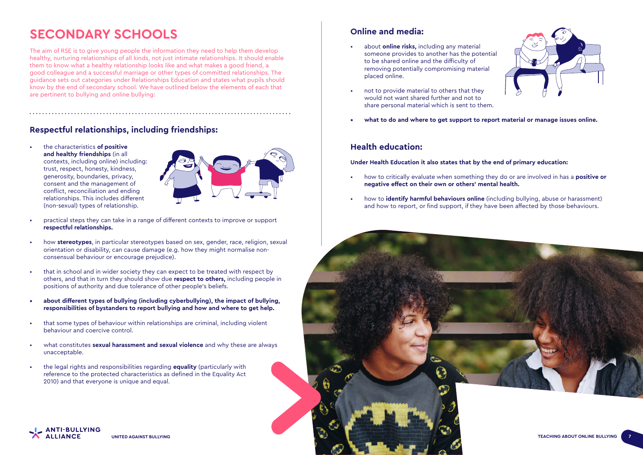# **SECONDARY SCHOOLS**

The aim of RSE is to give young people the information they need to help them develop healthy, nurturing relationships of all kinds, not just intimate relationships. It should enable them to know what a healthy relationship looks like and what makes a good friend, a good colleague and a successful marriage or other types of committed relationships. The guidance sets out categories under Relationships Education and states what pupils should know by the end of secondary school. We have outlined below the elements of each that are pertinent to bullying and online bullying:

### **Respectful relationships, including friendships:**

• the characteristics **of positive and healthy friendships** (in all contexts, including online) including: trust, respect, honesty, kindness, generosity, boundaries, privacy, consent and the management of conflict, reconciliation and ending relationships. This includes different (non-sexual) types of relationship.



- practical steps they can take in a range of different contexts to improve or support **respectful relationships.**
- how **stereotypes**, in particular stereotypes based on sex, gender, race, religion, sexual orientation or disability, can cause damage (e.g. how they might normalise nonconsensual behaviour or encourage prejudice).
- that in school and in wider society they can expect to be treated with respect by others, and that in turn they should show due **respect to others,** including people in positions of authority and due tolerance of other people's beliefs.
- **• about different types of bullying (including cyberbullying), the impact of bullying, responsibilities of bystanders to report bullying and how and where to get help.**
- that some types of behaviour within relationships are criminal, including violent behaviour and coercive control.
- what constitutes **sexual harassment and sexual violence** and why these are always unacceptable.
- the legal rights and responsibilities regarding **equality** (particularly with reference to the protected characteristics as defined in the Equality Act 2010) and that everyone is unique and equal.



### **Online and media:**

about **online risks**, including any material someone provides to another has the potential to be shared online and the difficulty of removing potentially compromising material placed online.



- not to provide material to others that they would not want shared further and not to share personal material which is sent to them.
- **• what to do and where to get support to report material or manage issues online.**

#### **Health education:**

**Under Health Education it also states that by the end of primary education:** 

- how to critically evaluate when something they do or are involved in has a **positive or negative effect on their own or others' mental health.**
- how to **identify harmful behaviours online** (including bullying, abuse or harassment) and how to report, or find support, if they have been affected by those behaviours.